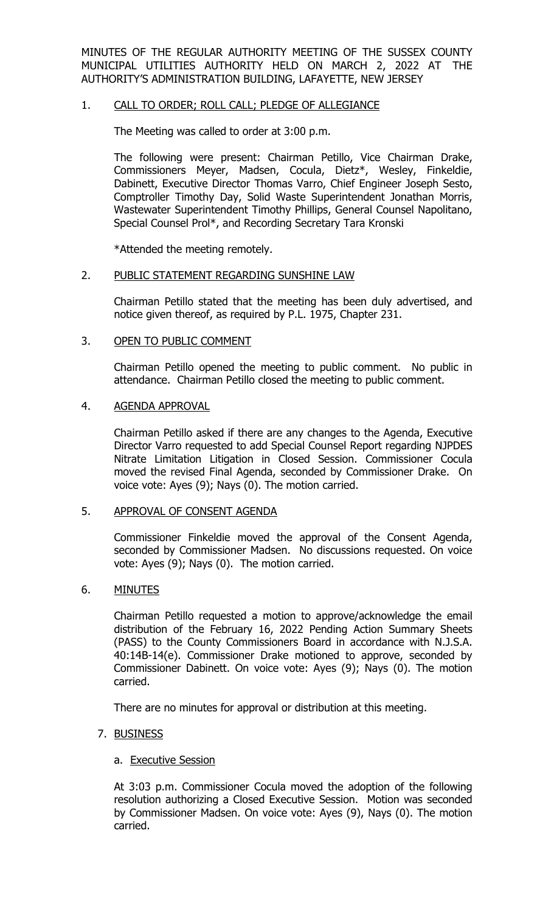MINUTES OF THE REGULAR AUTHORITY MEETING OF THE SUSSEX COUNTY MUNICIPAL UTILITIES AUTHORITY HELD ON MARCH 2, 2022 AT THE AUTHORITY'S ADMINISTRATION BUILDING, LAFAYETTE, NEW JERSEY

## 1. CALL TO ORDER; ROLL CALL; PLEDGE OF ALLEGIANCE

The Meeting was called to order at 3:00 p.m.

The following were present: Chairman Petillo, Vice Chairman Drake, Commissioners Meyer, Madsen, Cocula, Dietz\*, Wesley, Finkeldie, Dabinett, Executive Director Thomas Varro, Chief Engineer Joseph Sesto, Comptroller Timothy Day, Solid Waste Superintendent Jonathan Morris, Wastewater Superintendent Timothy Phillips, General Counsel Napolitano, Special Counsel Prol\*, and Recording Secretary Tara Kronski

\*Attended the meeting remotely.

#### 2. PUBLIC STATEMENT REGARDING SUNSHINE LAW

Chairman Petillo stated that the meeting has been duly advertised, and notice given thereof, as required by P.L. 1975, Chapter 231.

#### 3. OPEN TO PUBLIC COMMENT

Chairman Petillo opened the meeting to public comment. No public in attendance. Chairman Petillo closed the meeting to public comment.

#### 4. AGENDA APPROVAL

Chairman Petillo asked if there are any changes to the Agenda, Executive Director Varro requested to add Special Counsel Report regarding NJPDES Nitrate Limitation Litigation in Closed Session. Commissioner Cocula moved the revised Final Agenda, seconded by Commissioner Drake. On voice vote: Ayes (9); Nays (0). The motion carried.

#### 5. APPROVAL OF CONSENT AGENDA

Commissioner Finkeldie moved the approval of the Consent Agenda, seconded by Commissioner Madsen. No discussions requested. On voice vote: Ayes (9); Nays (0). The motion carried.

#### 6. MINUTES

Chairman Petillo requested a motion to approve/acknowledge the email distribution of the February 16, 2022 Pending Action Summary Sheets (PASS) to the County Commissioners Board in accordance with N.J.S.A. 40:14B-14(e). Commissioner Drake motioned to approve, seconded by Commissioner Dabinett. On voice vote: Ayes (9); Nays (0). The motion carried.

There are no minutes for approval or distribution at this meeting.

## 7. BUSINESS

#### a. Executive Session

At 3:03 p.m. Commissioner Cocula moved the adoption of the following resolution authorizing a Closed Executive Session. Motion was seconded by Commissioner Madsen. On voice vote: Ayes (9), Nays (0). The motion carried.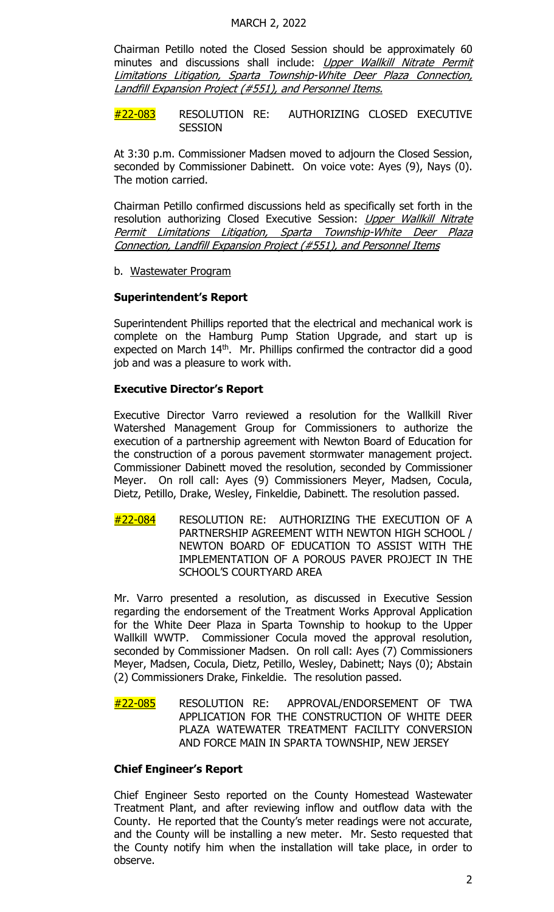Chairman Petillo noted the Closed Session should be approximately 60 minutes and discussions shall include: Upper Wallkill Nitrate Permit Limitations Litigation, Sparta Township-White Deer Plaza Connection, Landfill Expansion Project (#551), and Personnel Items.

#22-083 RESOLUTION RE: AUTHORIZING CLOSED EXECUTIVE **SESSION** 

At 3:30 p.m. Commissioner Madsen moved to adjourn the Closed Session, seconded by Commissioner Dabinett. On voice vote: Ayes (9), Nays (0). The motion carried.

Chairman Petillo confirmed discussions held as specifically set forth in the resolution authorizing Closed Executive Session: Upper Wallkill Nitrate Permit Limitations Litigation, Sparta Township-White Deer Plaza Connection, Landfill Expansion Project (#551), and Personnel Items

b. Wastewater Program

## **Superintendent's Report**

Superintendent Phillips reported that the electrical and mechanical work is complete on the Hamburg Pump Station Upgrade, and start up is expected on March  $14<sup>th</sup>$ . Mr. Phillips confirmed the contractor did a good job and was a pleasure to work with.

## **Executive Director's Report**

Executive Director Varro reviewed a resolution for the Wallkill River Watershed Management Group for Commissioners to authorize the execution of a partnership agreement with Newton Board of Education for the construction of a porous pavement stormwater management project. Commissioner Dabinett moved the resolution, seconded by Commissioner Meyer. On roll call: Ayes (9) Commissioners Meyer, Madsen, Cocula, Dietz, Petillo, Drake, Wesley, Finkeldie, Dabinett. The resolution passed.

#22-084 RESOLUTION RE: AUTHORIZING THE EXECUTION OF A PARTNERSHIP AGREEMENT WITH NEWTON HIGH SCHOOL / NEWTON BOARD OF EDUCATION TO ASSIST WITH THE IMPLEMENTATION OF A POROUS PAVER PROJECT IN THE SCHOOL'S COURTYARD AREA

Mr. Varro presented a resolution, as discussed in Executive Session regarding the endorsement of the Treatment Works Approval Application for the White Deer Plaza in Sparta Township to hookup to the Upper Wallkill WWTP. Commissioner Cocula moved the approval resolution, seconded by Commissioner Madsen. On roll call: Ayes (7) Commissioners Meyer, Madsen, Cocula, Dietz, Petillo, Wesley, Dabinett; Nays (0); Abstain (2) Commissioners Drake, Finkeldie. The resolution passed.

#22-085 RESOLUTION RE: APPROVAL/ENDORSEMENT OF TWA APPLICATION FOR THE CONSTRUCTION OF WHITE DEER PLAZA WATEWATER TREATMENT FACILITY CONVERSION AND FORCE MAIN IN SPARTA TOWNSHIP, NEW JERSEY

## **Chief Engineer's Report**

Chief Engineer Sesto reported on the County Homestead Wastewater Treatment Plant, and after reviewing inflow and outflow data with the County. He reported that the County's meter readings were not accurate, and the County will be installing a new meter. Mr. Sesto requested that the County notify him when the installation will take place, in order to observe.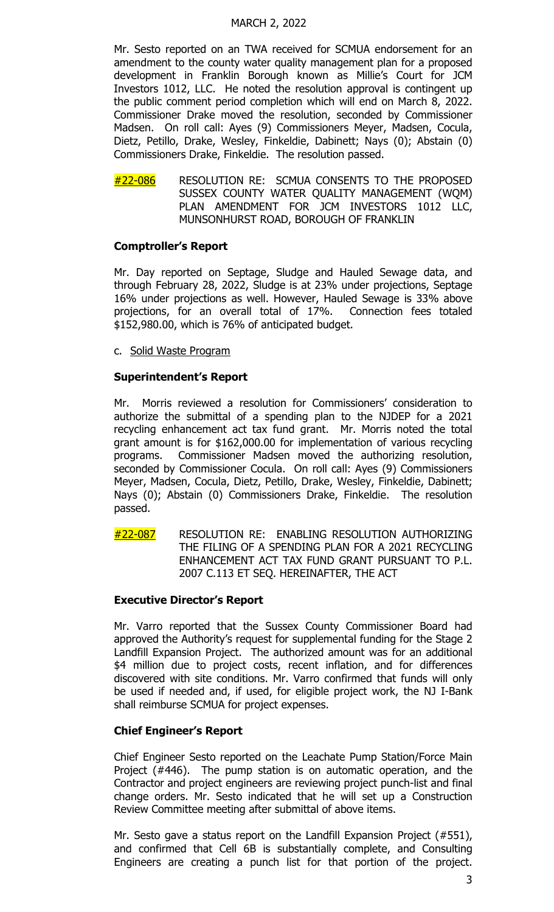#### MARCH 2, 2022

Mr. Sesto reported on an TWA received for SCMUA endorsement for an amendment to the county water quality management plan for a proposed development in Franklin Borough known as Millie's Court for JCM Investors 1012, LLC. He noted the resolution approval is contingent up the public comment period completion which will end on March 8, 2022. Commissioner Drake moved the resolution, seconded by Commissioner Madsen. On roll call: Ayes (9) Commissioners Meyer, Madsen, Cocula, Dietz, Petillo, Drake, Wesley, Finkeldie, Dabinett; Nays (0); Abstain (0) Commissioners Drake, Finkeldie. The resolution passed.

#22-086 RESOLUTION RE: SCMUA CONSENTS TO THE PROPOSED SUSSEX COUNTY WATER QUALITY MANAGEMENT (WQM) PLAN AMENDMENT FOR JCM INVESTORS 1012 LLC, MUNSONHURST ROAD, BOROUGH OF FRANKLIN

## **Comptroller's Report**

Mr. Day reported on Septage, Sludge and Hauled Sewage data, and through February 28, 2022, Sludge is at 23% under projections, Septage 16% under projections as well. However, Hauled Sewage is 33% above projections, for an overall total of 17%. Connection fees totaled \$152,980.00, which is 76% of anticipated budget.

c. Solid Waste Program

## **Superintendent's Report**

Mr. Morris reviewed a resolution for Commissioners' consideration to authorize the submittal of a spending plan to the NJDEP for a 2021 recycling enhancement act tax fund grant. Mr. Morris noted the total grant amount is for \$162,000.00 for implementation of various recycling programs. Commissioner Madsen moved the authorizing resolution, seconded by Commissioner Cocula. On roll call: Ayes (9) Commissioners Meyer, Madsen, Cocula, Dietz, Petillo, Drake, Wesley, Finkeldie, Dabinett; Nays (0); Abstain (0) Commissioners Drake, Finkeldie. The resolution passed.

#22-087 RESOLUTION RE: ENABLING RESOLUTION AUTHORIZING THE FILING OF A SPENDING PLAN FOR A 2021 RECYCLING ENHANCEMENT ACT TAX FUND GRANT PURSUANT TO P.L. 2007 C.113 ET SEQ. HEREINAFTER, THE ACT

## **Executive Director's Report**

Mr. Varro reported that the Sussex County Commissioner Board had approved the Authority's request for supplemental funding for the Stage 2 Landfill Expansion Project. The authorized amount was for an additional \$4 million due to project costs, recent inflation, and for differences discovered with site conditions. Mr. Varro confirmed that funds will only be used if needed and, if used, for eligible project work, the NJ I-Bank shall reimburse SCMUA for project expenses.

## **Chief Engineer's Report**

Chief Engineer Sesto reported on the Leachate Pump Station/Force Main Project (#446). The pump station is on automatic operation, and the Contractor and project engineers are reviewing project punch-list and final change orders. Mr. Sesto indicated that he will set up a Construction Review Committee meeting after submittal of above items.

Mr. Sesto gave a status report on the Landfill Expansion Project (#551), and confirmed that Cell 6B is substantially complete, and Consulting Engineers are creating a punch list for that portion of the project.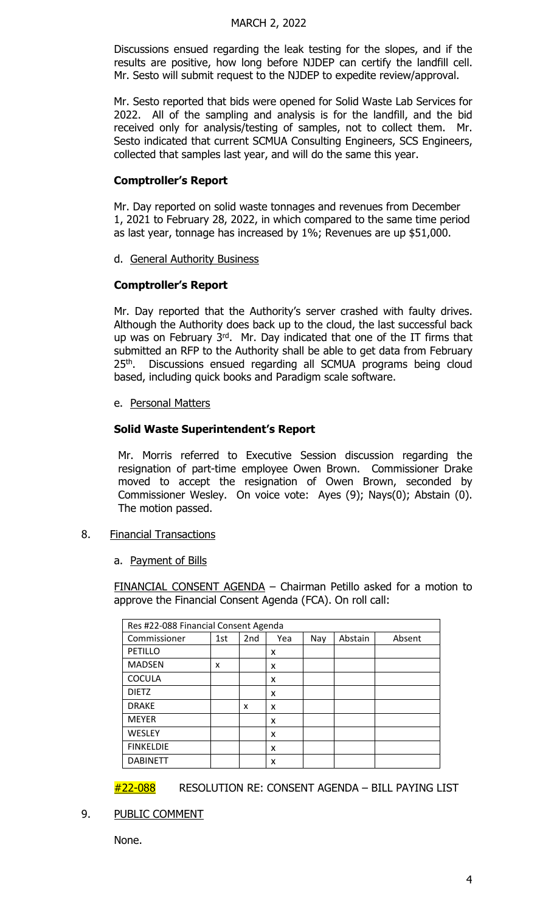#### MARCH 2, 2022

Discussions ensued regarding the leak testing for the slopes, and if the results are positive, how long before NJDEP can certify the landfill cell. Mr. Sesto will submit request to the NJDEP to expedite review/approval.

Mr. Sesto reported that bids were opened for Solid Waste Lab Services for 2022. All of the sampling and analysis is for the landfill, and the bid received only for analysis/testing of samples, not to collect them. Mr. Sesto indicated that current SCMUA Consulting Engineers, SCS Engineers, collected that samples last year, and will do the same this year.

## **Comptroller's Report**

Mr. Day reported on solid waste tonnages and revenues from December 1, 2021 to February 28, 2022, in which compared to the same time period as last year, tonnage has increased by 1%; Revenues are up \$51,000.

d. General Authority Business

# **Comptroller's Report**

Mr. Day reported that the Authority's server crashed with faulty drives. Although the Authority does back up to the cloud, the last successful back up was on February 3rd. Mr. Day indicated that one of the IT firms that submitted an RFP to the Authority shall be able to get data from February 25<sup>th</sup>. Discussions ensued regarding all SCMUA programs being cloud based, including quick books and Paradigm scale software.

e. Personal Matters

## **Solid Waste Superintendent's Report**

Mr. Morris referred to Executive Session discussion regarding the resignation of part-time employee Owen Brown. Commissioner Drake moved to accept the resignation of Owen Brown, seconded by Commissioner Wesley. On voice vote: Ayes (9); Nays(0); Abstain (0). The motion passed.

- 8. Financial Transactions
	- a. Payment of Bills

FINANCIAL CONSENT AGENDA – Chairman Petillo asked for a motion to approve the Financial Consent Agenda (FCA). On roll call:

| Res #22-088 Financial Consent Agenda |     |                 |     |     |         |        |
|--------------------------------------|-----|-----------------|-----|-----|---------|--------|
| Commissioner                         | 1st | 2 <sub>nd</sub> | Yea | Nay | Abstain | Absent |
| PETILLO                              |     |                 | x   |     |         |        |
| <b>MADSEN</b>                        | x   |                 | x   |     |         |        |
| <b>COCULA</b>                        |     |                 | x   |     |         |        |
| <b>DIETZ</b>                         |     |                 | x   |     |         |        |
| <b>DRAKE</b>                         |     | x               | x   |     |         |        |
| <b>MEYER</b>                         |     |                 | x   |     |         |        |
| <b>WESLEY</b>                        |     |                 | X   |     |         |        |
| <b>FINKELDIE</b>                     |     |                 | x   |     |         |        |
| <b>DABINETT</b>                      |     |                 | x   |     |         |        |

#22-088 RESOLUTION RE: CONSENT AGENDA - BILL PAYING LIST

9. PUBLIC COMMENT

None.